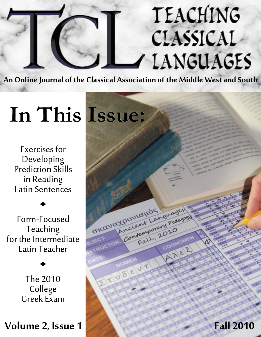# *Teaching Classical Languages Fall 2010* CLASSICAL / LANGUAGES

**An Online Journal of the Classical Association of the Middle West and South**

OKavaxpovious

ENSEVE

oviolids guage

Contemporary Pedagogy

Fall, 20

# *In This Issue:*

Exercises for Developing Prediction Skills in Reading Latin Sentences

Form-Focused Teaching for the Intermediate Latin Teacher

> The 2010 College Greek Exam

**Volume 2, Issue 1 Fall 2010**

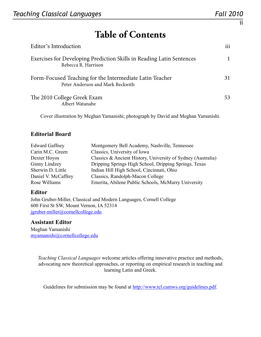ii

# **Table of Contents**

| Editor's Introduction                                                                        | 111 |
|----------------------------------------------------------------------------------------------|-----|
| Exercises for Developing Prediction Skills in Reading Latin Sentences<br>Rebecca R. Harrison |     |
| Form-Focused Teaching for the Intermediate Latin Teacher<br>Peter Anderson and Mark Beckwith | 31  |
| The 2010 College Greek Exam<br>Albert Watanabe                                               | 53  |

Cover illustration by Meghan Yamanishi; photograph by David and Meghan Yamanishi.

#### **Editorial Board**

| <b>Edward Gaffney</b> | Montgomery Bell Academy, Nashville, Tennessee                |
|-----------------------|--------------------------------------------------------------|
| Carin M.C. Green      | Classics, University of Iowa                                 |
| Dexter Hoyos          | Classics & Ancient History, University of Sydney (Australia) |
| <b>Ginny Lindzey</b>  | Dripping Springs High School, Dripping Springs, Texas        |
| Sherwin D. Little     | Indian Hill High School, Cincinnati, Ohio                    |
| Daniel V. McCaffrey   | Classics, Randolph-Macon College                             |
| Rose Williams         | Emerita, Abilene Public Schools, McMurry University          |

#### **Editor**

John Gruber-Miller, Classical and Modern Languages, Cornell College 600 First St SW, Mount Vernon, IA 52314 [jgruber-miller@cornellcollege.edu](mailto:jgruber-miller@cornellcollege.edu)

#### **Assistant Editor**

Meghan Yamanishi [myamanishi@cornellcollege.edu](mailto:myamanishi@cornellcollege.edu)

> *Teaching Classical Languages* welcome articles offering innovative practice and methods, advocating new theoretical approaches, or reporting on empirical research in teaching and learning Latin and Greek.

Guidelines for submission may be found at [http://www.tcl.camws.org/guidelines.](http://www.tcl.camws.org/guidelines.pdf)pdf.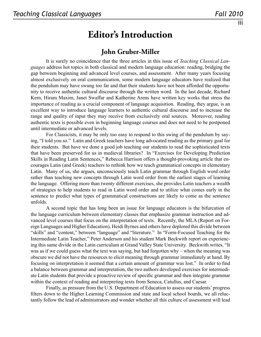### **Editor's Introduction**

### **John Gruber-Miller**

It is surely no coincidence that the three articles in this issue of *Teaching Classical Languages* address hot topics in both classical and modern language education: reading, bridging the gap between beginning and advanced level courses, and assessment. After many years focusing almost exclusively on oral communication, some modern language educators have realized that the pendulum may have swung too far and that their students have not been afforded the opportunity to receive authentic cultural discourse through the written word. In the last decade, Richard Kern, Hiram Maxim, Janet Swaffar and Katherine Arens have written key works that stress the importance of reading as a crucial component of language acquisition. Reading, they argue, is an excellent way to introduce language learners to authentic cultural discourse and to increase the range and quality of input they may receive from exclusively oral sources. Moreover, reading authentic texts is possible even in beginning language courses and does not need to be postponed until intermediate or advanced levels.

For Classicists, it may be only too easy to respond to this swing of the pendulum by saying, "I told you so." Latin and Greek teachers have long advocated reading as the primary goal for their students. But have we done a good job teaching our students to read the sophisticated texts that have been preserved for us in medieval libraries? In "Exercises for Developing Prediction Skills in Reading Latin Sentences," Rebecca Harrison offers a thought-provoking article that encourages Latin (and Greek) teachers to rethink how we teach grammatical concepts in elementary Latin. Many of us, she argues, unconsciously teach Latin grammar through English word order rather than teaching new concepts through Latin word order from the earliest stages of learning the language. Offering more than twenty different exercises, she provides Latin teachers a wealth of strategies to help students to read in Latin word order and to utilize what comes early in the sentence to predict what types of grammatical constructions are likely to come as the sentence unfolds.

A second topic that has long been an issue for language educators is the bifurcation of the language curriculum between elementary classes that emphasize grammar instruction and advanced level courses that focus on the interpretation of texts. Recently, the MLA (Report on Foreign Languages and Higher Education), Heidi Byrnes and others have deplored this divide between "skills" and "content," between "language" and "literature." In "Form-Focused Teaching for the Intermediate Latin Teacher," Peter Anderson and his student Mark Beckwith report on experiencing this same divide in the Latin curriculum at Grand Valley State University. Beckwith writes, "It was as if we could guess what the text was saying, but had forgotten why – when the meaning was obscure we did not have the resources to elicit meaning through grammar immediately at hand. By focusing on interpretation it seemed that a certain amount of grammar was lost." In order to find a balance between grammar and interpretation, the two authors developed exercises for intermediate Latin students that provide a proactive review of specific grammar and then integrate grammar within the context of reading and interpreting texts from Seneca, Catullus, and Caesar.

Finally, as pressure from the U.S. Department of Education to assess our students' progress filters down to the Higher Learning Commission and state and local school boards, we all reluctantly follow the lead of administrators and wonder whether all this culture of assessment will lead